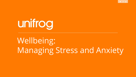

unifrog

# Wellbeing: Managing Stress and Anxiety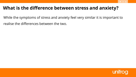#### **What is the difference between stress and anxiety?**

- While the symptoms of stress and anxiety feel very similar it is important to
- realise the differences between the two.

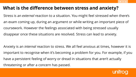#### **What is the difference between stress and anxiety?**

Stress is an *external* reaction to a situation. You might feel stressed when there's an exam coming up, during an argument or while writing an important piece of coursework. However the feelings associated with being stressed usually disappear once these situations are resolved. Stress can lead to anxiety.

Anxiety is an *internal* reaction to stress. We all feel anxious at times, however it is important to recognise when it's becoming a problem for you. For example, if you have a persistent feeling of worry or dread in situations that aren't actually threatening or after a concern has passed.

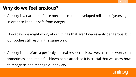# **Why do we feel anxious?**

• Anxiety is a natural defence mechanism that developed millions of years ago, in order to keep us safe from danger.

• Nowadays we might worry about things that aren't necessarily dangerous, but our bodies still react in the same way.

• Anxiety is therefore a perfectly natural response. However, a simple worry can sometimes lead into a full blown panic attack so it is crucial that we know how to recognise and manage our anxiety.

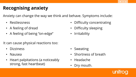# **Recognising anxiety**

Anxiety can change the way we think and behave. Symptoms include:

- Restlessness
- A feeling of dread
- A feeling of being "on-edge"

It can cause physical reactions too:

- Dizziness
- Nausea
- Heart palpitations (a noticeably strong, fast heartbeat)
- Difficulty concentrating
- Difficulty sleeping
- **Irritability**

- **Sweating**
- Shortness of breath
- Headache
- Dry mouth.

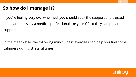# **So how do I manage it?**

If you're feeling very overwhelmed, you should seek the support of a trusted adult, and possibly a medical professional like your GP so they can provide support.

In the meanwhile, the following mindfulness exercises can help you find some calmness during stressful times.

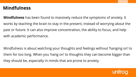#### **Mindfulness**

**Mindfulness** has been found to massively reduce the symptoms of anxiety. It works by teaching the brain to stay in the present, instead of worrying about the past or future. It can also improve concentration, the ability to focus, and help with academic performance.

Mindfulness is about watching your thoughts and feelings without 'hanging on' to them for too long. When you 'hang on' to thoughts they can become bigger than they should be, especially in minds that are prone to anxiety.

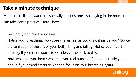## **Take a minute technique**

Minds quite like to wander, especially anxious ones, so staying in the moment can take some practice. Here's how:

- Get comfy and close your eyes.
- Notice your breathing. How does the air feel as you draw it inside you? Notice the sensation of the air, or your belly rising and falling. Notice your heart beating. If your mind starts to wander, come back to this.
- Now, what can you hear? What can you feel outside of you and inside your body? If your mind starts to wander, focus on your breathing again.

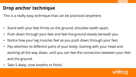#### **Drop anchor technique**

This is a really easy technique that can be practiced anywhere.

- Stand with your feet firmly on the ground, shoulder-width apart.
- Push down through your feet and feel the ground steady beneath you.
- Notice how your leg muscles feel as you push down through your feet.
- Pay attention to different parts of your body; starting with your head and working all the way down, until you can feel the connection between your feet and the ground.
- Take 5 deep, slow breaths to finish.

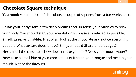#### **Chocolate Square technique**

**You need:** A small piece of chocolate; a couple of squares from a bar works best.

**Relax your body:** Take a few deep breaths and un-tense your muscles to relax your body. You should start your meditation as physically relaxed as possible. **Smell, gaze, and nibble:** First of all, look at the chocolate and notice everything about it. What texture does it have? Shiny, smooth? Sharp or soft edges? Next, smell the chocolate; how does it make you feel? Does your mouth water? Now, take a small bite of your chocolate. Let it sit on your tongue and melt in your mouth. Notice the flavours.

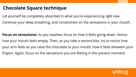#### **Chocolate Square technique**

- Let yourself be completely absorbed in what you're experiencing *right now*.
- Continue your deep breathing, and concentrate on the sensations in your mouth.

**Focus on sensations:** As you swallow, focus on how it feels going down. Notice how your mouth feels empty. Then, as you take a second bite, try to notice how your arm feels as you raise the chocolate to your mouth, how it feels between your fingers. Again, focus on the sensations you are feeling in the present moment.

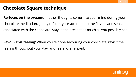#### **Chocolate Square technique**

**Re-focus on the present:** If other thoughts come into your mind during your chocolate meditation, gently refocus your attention to the flavors and sensations associated with the chocolate. Stay in the present as much as you possibly can.

**Savour this feeling:** When you're done savouring your chocolate, revisit the feeling throughout your day, and feel more relaxed.

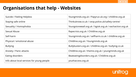## **Organisations that help - Websites**

| Suicide / Feeling Helpless                 | Youngminds.org.uk / Papyrus-uk.org / childline.org.uk    |
|--------------------------------------------|----------------------------------------------------------|
| Staying safe online                        | Thinkuknow.co.uk / ceop.police.uk/safety-centre/         |
| Sexuality / Homophobia                     | Youngstonewall.org.uk / bgiok.org.uk / eachaction.org.uk |
| Sexual Abuse                               | Rapecrisis.org.uk / Childline.org.uk                     |
| Self-harm                                  | Youngminds.org.uk / selfharm.co.uk / childline.org.uk    |
| Physical / emotional abuse                 | Childline.org.uk / Youngminds.org.uk                     |
| <b>Bullying</b>                            | Bullybusters.org.uk / childline.org.uk / bullying.co.uk  |
| <b>Anxiety / Panic attacks</b>             | Childline.org.uk / themix.org.uk / youngminds.org.uk     |
| Eating disorders                           | Beateating disorders.org.uk / Childline.org.uk           |
| Info about local services for young people | youthaccess.org.uk                                       |

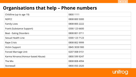| Childline (up to age 19)           | 0800 1111     |
|------------------------------------|---------------|
| <b>NSPCC</b>                       | 0808 800 5000 |
| <b>Family Lives</b>                | 0808 800 2222 |
| Frank (Substance Support)          | 0300 123 6600 |
| <b>Beat - Eating Disorders</b>     | 0808 801 0711 |
| <b>Sexual Health Line</b>          | 0300 123 7123 |
| <b>Rape Crisis</b>                 | 0808 802 9999 |
| <b>Victim Support</b>              | 0845 3030 900 |
| <b>Forced Marriage Unit</b>        | 0207 008 0151 |
| Karma Nirvana (Honour-based Abuse) | 0800 599 9247 |
| The Mix                            | 0808 808 4994 |
| Stonewall                          | 0800 050 2020 |